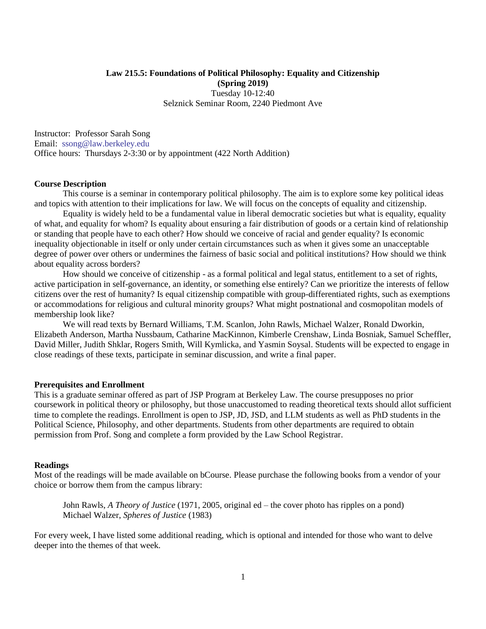# **Law 215.5: Foundations of Political Philosophy: Equality and Citizenship (Spring 2019)** Tuesday 10-12:40 Selznick Seminar Room, 2240 Piedmont Ave

Instructor: Professor Sarah Song Email: [ssong@law.berkeley.edu](mailto:ssong@law.berkeley.edu) Office hours: Thursdays 2-3:30 or by appointment (422 North Addition)

### **Course Description**

This course is a seminar in contemporary political philosophy. The aim is to explore some key political ideas and topics with attention to their implications for law. We will focus on the concepts of equality and citizenship.

Equality is widely held to be a fundamental value in liberal democratic societies but what is equality, equality of what, and equality for whom? Is equality about ensuring a fair distribution of goods or a certain kind of relationship or standing that people have to each other? How should we conceive of racial and gender equality? Is economic inequality objectionable in itself or only under certain circumstances such as when it gives some an unacceptable degree of power over others or undermines the fairness of basic social and political institutions? How should we think about equality across borders?

How should we conceive of citizenship - as a formal political and legal status, entitlement to a set of rights, active participation in self-governance, an identity, or something else entirely? Can we prioritize the interests of fellow citizens over the rest of humanity? Is equal citizenship compatible with group-differentiated rights, such as exemptions or accommodations for religious and cultural minority groups? What might postnational and cosmopolitan models of membership look like?

We will read texts by Bernard Williams, T.M. Scanlon, John Rawls, Michael Walzer, Ronald Dworkin, Elizabeth Anderson, Martha Nussbaum, Catharine MacKinnon, Kimberle Crenshaw, Linda Bosniak, Samuel Scheffler, David Miller, Judith Shklar, Rogers Smith, Will Kymlicka, and Yasmin Soysal. Students will be expected to engage in close readings of these texts, participate in seminar discussion, and write a final paper.

### **Prerequisites and Enrollment**

This is a graduate seminar offered as part of JSP Program at Berkeley Law. The course presupposes no prior coursework in political theory or philosophy, but those unaccustomed to reading theoretical texts should allot sufficient time to complete the readings. Enrollment is open to JSP, JD, JSD, and LLM students as well as PhD students in the Political Science, Philosophy, and other departments. Students from other departments are required to obtain permission from Prof. Song and complete a form provided by the Law School Registrar.

#### **Readings**

Most of the readings will be made available on bCourse. Please purchase the following books from a vendor of your choice or borrow them from the campus library:

John Rawls, *A Theory of Justice* (1971, 2005, original ed – the cover photo has ripples on a pond) Michael Walzer, *Spheres of Justice* (1983)

For every week, I have listed some additional reading, which is optional and intended for those who want to delve deeper into the themes of that week.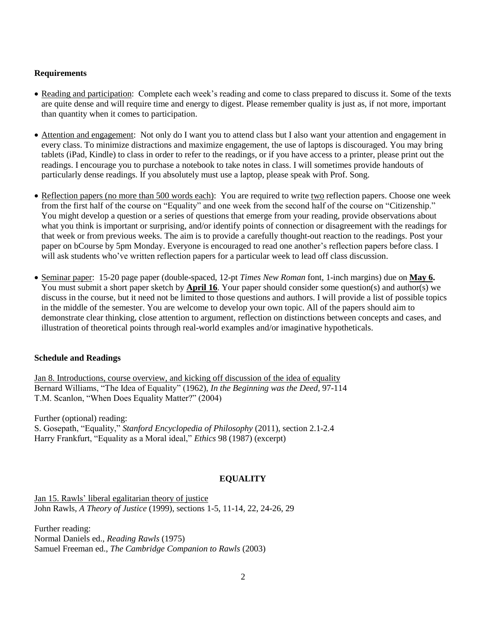## **Requirements**

- Reading and participation: Complete each week's reading and come to class prepared to discuss it. Some of the texts are quite dense and will require time and energy to digest. Please remember quality is just as, if not more, important than quantity when it comes to participation.
- Attention and engagement: Not only do I want you to attend class but I also want your attention and engagement in every class. To minimize distractions and maximize engagement, the use of laptops is discouraged. You may bring tablets (iPad, Kindle) to class in order to refer to the readings, or if you have access to a printer, please print out the readings. I encourage you to purchase a notebook to take notes in class. I will sometimes provide handouts of particularly dense readings. If you absolutely must use a laptop, please speak with Prof. Song.
- Reflection papers (no more than 500 words each): You are required to write two reflection papers. Choose one week from the first half of the course on "Equality" and one week from the second half of the course on "Citizenship." You might develop a question or a series of questions that emerge from your reading, provide observations about what you think is important or surprising, and/or identify points of connection or disagreement with the readings for that week or from previous weeks. The aim is to provide a carefully thought-out reaction to the readings. Post your paper on bCourse by 5pm Monday. Everyone is encouraged to read one another's reflection papers before class. I will ask students who've written reflection papers for a particular week to lead off class discussion.
- Seminar paper: 15-20 page paper (double-spaced, 12-pt *Times New Roman* font, 1-inch margins) due on **May 6.** You must submit a short paper sketch by **April 16**. Your paper should consider some question(s) and author(s) we discuss in the course, but it need not be limited to those questions and authors. I will provide a list of possible topics in the middle of the semester. You are welcome to develop your own topic. All of the papers should aim to demonstrate clear thinking, close attention to argument, reflection on distinctions between concepts and cases, and illustration of theoretical points through real-world examples and/or imaginative hypotheticals.

# **Schedule and Readings**

Jan 8. Introductions, course overview, and kicking off discussion of the idea of equality Bernard Williams, "The Idea of Equality" (1962), *In the Beginning was the Deed,* 97-114 T.M. Scanlon, "When Does Equality Matter?" (2004)

Further (optional) reading: S. Gosepath, "Equality," *Stanford Encyclopedia of Philosophy* (2011), section 2.1-2.4 Harry Frankfurt, "Equality as a Moral ideal," *Ethics* 98 (1987) (excerpt)

# **EQUALITY**

Jan 15. Rawls' liberal egalitarian theory of justice John Rawls, *A Theory of Justice* (1999), sections 1-5, 11-14, 22, 24-26, 29

Further reading: Normal Daniels ed., *Reading Rawls* (1975) Samuel Freeman ed., *The Cambridge Companion to Rawls* (2003)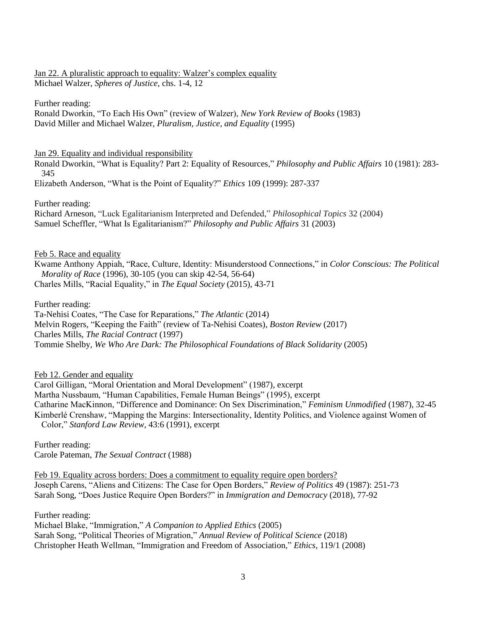Jan 22. A pluralistic approach to equality: Walzer's complex equality Michael Walzer, *Spheres of Justice,* chs. 1-4, 12

Further reading:

Ronald Dworkin, "To Each His Own" (review of Walzer), *New York Review of Books* (1983) David Miller and Michael Walzer, *Pluralism, Justice, and Equality* (1995)

Jan 29. Equality and individual responsibility

Ronald Dworkin, "What is Equality? Part 2: Equality of Resources," *Philosophy and Public Affairs* 10 (1981): 283- 345

Elizabeth Anderson, "What is the Point of Equality?" *Ethics* 109 (1999): 287-337

Further reading:

Richard Arneson, "Luck Egalitarianism Interpreted and Defended," *Philosophical Topics* 32 (2004) Samuel Scheffler, "What Is Egalitarianism?" *Philosophy and Public Affairs* 31 (2003)

Feb 5. Race and equality

Kwame Anthony Appiah, "Race, Culture, Identity: Misunderstood Connections," in *Color Conscious: The Political Morality of Race* (1996), 30-105 (you can skip 42-54, 56-64) Charles Mills, "Racial Equality," in *The Equal Society* (2015), 43-71

Further reading:

Ta-Nehisi Coates, "The Case for Reparations," *The Atlantic* (2014) Melvin Rogers, "Keeping the Faith" (review of Ta-Nehisi Coates), *Boston Review* (2017) Charles Mills, *The Racial Contract* (1997) Tommie Shelby, *We Who Are Dark: The Philosophical Foundations of Black Solidarity* (2005)

Feb 12. Gender and equality

Carol Gilligan, "Moral Orientation and Moral Development" (1987), excerpt Martha Nussbaum, "Human Capabilities, Female Human Beings" (1995), excerpt Catharine MacKinnon, "Difference and Dominance: On Sex Discrimination," *Feminism Unmodified* (1987), 32-45 Kimberlé Crenshaw, "Mapping the Margins: Intersectionality, Identity Politics, and Violence against Women of Color," *Stanford Law Review,* 43:6 (1991), excerpt

Further reading: Carole Pateman, *The Sexual Contract* (1988)

Feb 19. Equality across borders: Does a commitment to equality require open borders? Joseph Carens, "Aliens and Citizens: The Case for Open Borders," *Review of Politics* 49 (1987): 251-73 Sarah Song, "Does Justice Require Open Borders?" in *Immigration and Democracy* (2018), 77-92

Further reading:

Michael Blake, "Immigration," *A Companion to Applied Ethics* (2005) Sarah Song, "Political Theories of Migration," *Annual Review of Political Science* (2018) Christopher Heath Wellman, "Immigration and Freedom of Association," *Ethics,* 119/1 (2008)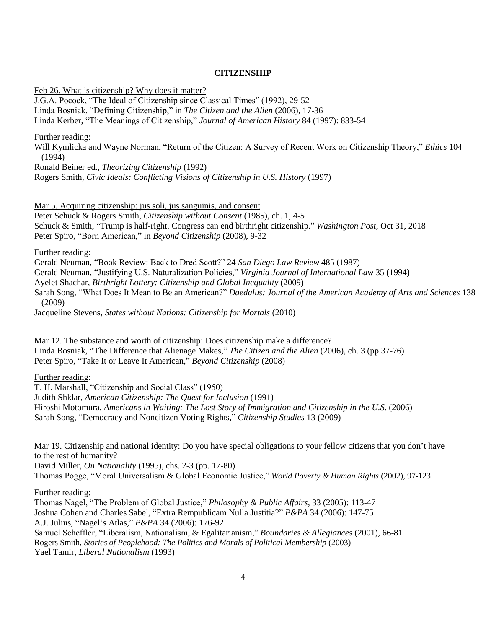## **CITIZENSHIP**

Feb 26. What is citizenship? Why does it matter?

J.G.A. Pocock, "The Ideal of Citizenship since Classical Times" (1992), 29-52 Linda Bosniak, "Defining Citizenship," in *The Citizen and the Alien* (2006), 17-36 Linda Kerber, "The Meanings of Citizenship," *Journal of American History* 84 (1997): 833-54

Further reading:

Will Kymlicka and Wayne Norman, "Return of the Citizen: A Survey of Recent Work on Citizenship Theory," *Ethics* 104 (1994)

Ronald Beiner ed., *Theorizing Citizenship* (1992)

Rogers Smith, *Civic Ideals: Conflicting Visions of Citizenship in U.S. History* (1997)

Mar 5. Acquiring citizenship: jus soli, jus sanguinis, and consent Peter Schuck & Rogers Smith, *Citizenship without Consent* (1985), ch. 1, 4-5 Schuck & Smith, "Trump is half-right. Congress can end birthright citizenship." *Washington Post,* Oct 31, 2018 Peter Spiro, "Born American," in *Beyond Citizenship* (2008), 9-32

Further reading:

Gerald Neuman, "Book Review: Back to Dred Scott?" 24 *San Diego Law Review* 485 (1987)

Gerald Neuman, "Justifying U.S. Naturalization Policies," *Virginia Journal of International Law* 35 (1994)

Ayelet Shachar, *Birthright Lottery: Citizenship and Global Inequality* (2009)

Sarah Song, "What Does It Mean to Be an American?" *Daedalus: Journal of the American Academy of Arts and Sciences* 138 (2009)

Jacqueline Stevens, *States without Nations: Citizenship for Mortals* (2010)

Mar 12. The substance and worth of citizenship: Does citizenship make a difference? Linda Bosniak, "The Difference that Alienage Makes," *The Citizen and the Alien* (2006), ch. 3 (pp.37-76) Peter Spiro, "Take It or Leave It American," *Beyond Citizenship* (2008)

Further reading:

T. H. Marshall, "Citizenship and Social Class" (1950) Judith Shklar, *American Citizenship: The Quest for Inclusion* (1991) Hiroshi Motomura, *Americans in Waiting: The Lost Story of Immigration and Citizenship in the U.S.* (2006) Sarah Song, "Democracy and Noncitizen Voting Rights," *Citizenship Studies* 13 (2009)

Mar 19. Citizenship and national identity: Do you have special obligations to your fellow citizens that you don't have to the rest of humanity?

David Miller, *On Nationality* (1995), chs. 2-3 (pp. 17-80)

Thomas Pogge, "Moral Universalism & Global Economic Justice," *World Poverty & Human Rights* (2002), 97-123

Further reading:

Thomas Nagel, "The Problem of Global Justice," *Philosophy & Public Affairs,* 33 (2005): 113-47 Joshua Cohen and Charles Sabel, "Extra Rempublicam Nulla Justitia?" *P&PA* 34 (2006): 147-75 A.J. Julius, "Nagel's Atlas," *P&PA* 34 (2006): 176-92 Samuel Scheffler, "Liberalism, Nationalism, & Egalitarianism," *Boundaries & Allegiances* (2001), 66-81 Rogers Smith, *Stories of Peoplehood: The Politics and Morals of Political Membership* (2003) Yael Tamir, *Liberal Nationalism* (1993)